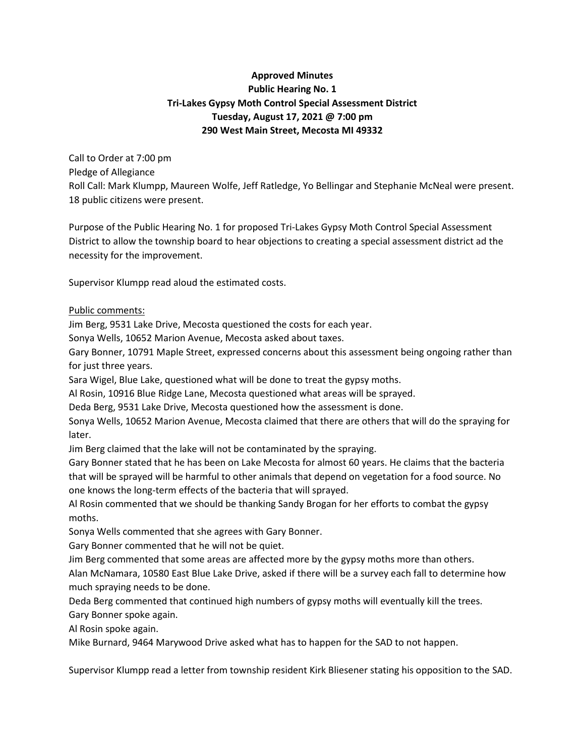## **Approved Minutes Public Hearing No. 1 Tri-Lakes Gypsy Moth Control Special Assessment District Tuesday, August 17, 2021 @ 7:00 pm 290 West Main Street, Mecosta MI 49332**

Call to Order at 7:00 pm Pledge of Allegiance Roll Call: Mark Klumpp, Maureen Wolfe, Jeff Ratledge, Yo Bellingar and Stephanie McNeal were present. 18 public citizens were present.

Purpose of the Public Hearing No. 1 for proposed Tri-Lakes Gypsy Moth Control Special Assessment District to allow the township board to hear objections to creating a special assessment district ad the necessity for the improvement.

Supervisor Klumpp read aloud the estimated costs.

## Public comments:

Jim Berg, 9531 Lake Drive, Mecosta questioned the costs for each year.

Sonya Wells, 10652 Marion Avenue, Mecosta asked about taxes.

Gary Bonner, 10791 Maple Street, expressed concerns about this assessment being ongoing rather than for just three years.

Sara Wigel, Blue Lake, questioned what will be done to treat the gypsy moths.

Al Rosin, 10916 Blue Ridge Lane, Mecosta questioned what areas will be sprayed.

Deda Berg, 9531 Lake Drive, Mecosta questioned how the assessment is done.

Sonya Wells, 10652 Marion Avenue, Mecosta claimed that there are others that will do the spraying for later.

Jim Berg claimed that the lake will not be contaminated by the spraying.

Gary Bonner stated that he has been on Lake Mecosta for almost 60 years. He claims that the bacteria that will be sprayed will be harmful to other animals that depend on vegetation for a food source. No one knows the long-term effects of the bacteria that will sprayed.

Al Rosin commented that we should be thanking Sandy Brogan for her efforts to combat the gypsy moths.

Sonya Wells commented that she agrees with Gary Bonner.

Gary Bonner commented that he will not be quiet.

Jim Berg commented that some areas are affected more by the gypsy moths more than others.

Alan McNamara, 10580 East Blue Lake Drive, asked if there will be a survey each fall to determine how much spraying needs to be done.

Deda Berg commented that continued high numbers of gypsy moths will eventually kill the trees. Gary Bonner spoke again.

Al Rosin spoke again.

Mike Burnard, 9464 Marywood Drive asked what has to happen for the SAD to not happen.

Supervisor Klumpp read a letter from township resident Kirk Bliesener stating his opposition to the SAD.